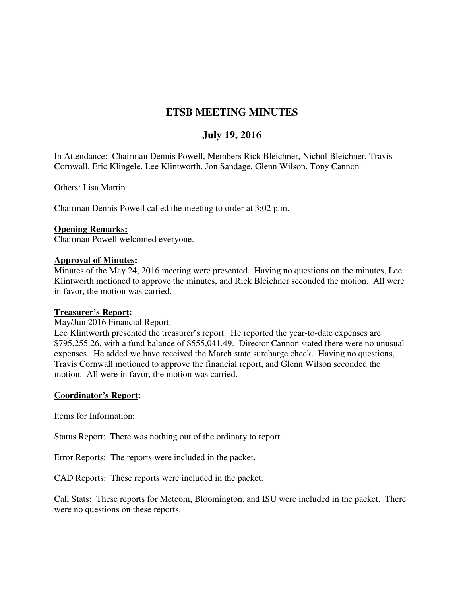# **ETSB MEETING MINUTES**

## **July 19, 2016**

In Attendance: Chairman Dennis Powell, Members Rick Bleichner, Nichol Bleichner, Travis Cornwall, Eric Klingele, Lee Klintworth, Jon Sandage, Glenn Wilson, Tony Cannon

Others: Lisa Martin

Chairman Dennis Powell called the meeting to order at 3:02 p.m.

### **Opening Remarks:**

Chairman Powell welcomed everyone.

### **Approval of Minutes:**

Minutes of the May 24, 2016 meeting were presented. Having no questions on the minutes, Lee Klintworth motioned to approve the minutes, and Rick Bleichner seconded the motion. All were in favor, the motion was carried.

### **Treasurer's Report:**

#### May/Jun 2016 Financial Report:

Lee Klintworth presented the treasurer's report. He reported the year-to-date expenses are \$795,255.26, with a fund balance of \$555,041.49. Director Cannon stated there were no unusual expenses. He added we have received the March state surcharge check. Having no questions, Travis Cornwall motioned to approve the financial report, and Glenn Wilson seconded the motion. All were in favor, the motion was carried.

### **Coordinator's Report:**

Items for Information:

Status Report: There was nothing out of the ordinary to report.

Error Reports: The reports were included in the packet.

CAD Reports: These reports were included in the packet.

Call Stats: These reports for Metcom, Bloomington, and ISU were included in the packet. There were no questions on these reports.